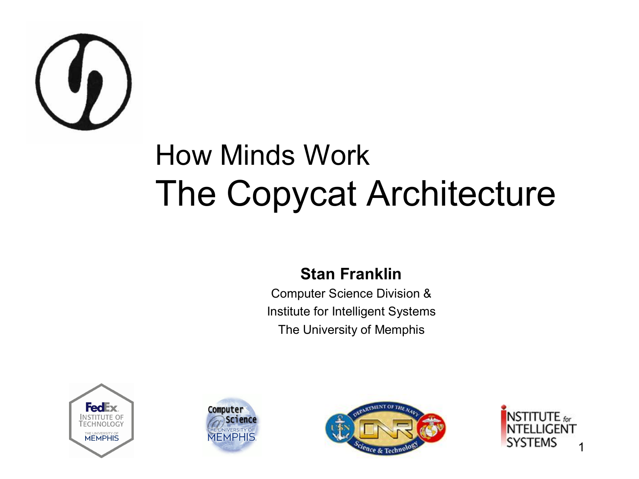

#### How Minds Work The Copycat Architecture

#### **Stan Franklin**

Computer Science Division & Institute for Intelligent Systems The University of Memphis







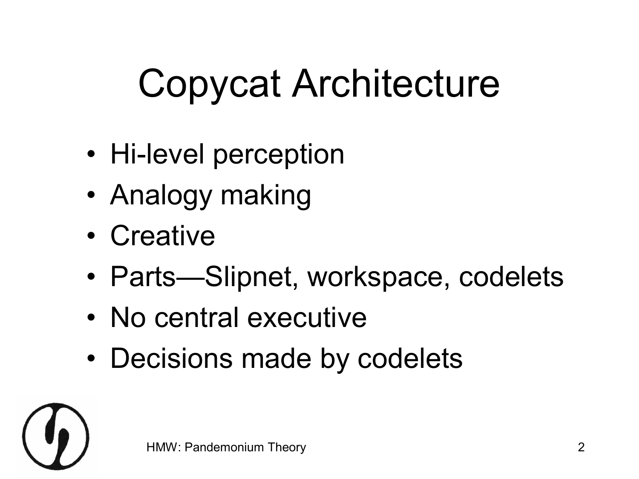# Copycat Architecture

- Hi-level perception
- Analogy making
- Creative
- Parts—Slipnet, workspace, codelets
- No central executive
- Decisions made by codelets

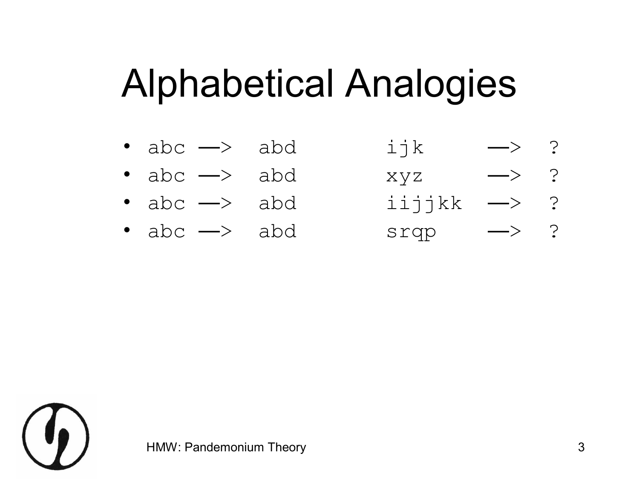#### Alphabetical Analogies

- $abc \longrightarrow abd$  ijk  $\longrightarrow ?$
- $abc \rightarrow abd$  xyz  $\rightarrow$  ?
- $abc \rightarrow abd$  iijjkk  $\rightarrow$  ?
- 

•  $abc \rightarrow abd$  srqp  $\rightarrow ?$ 

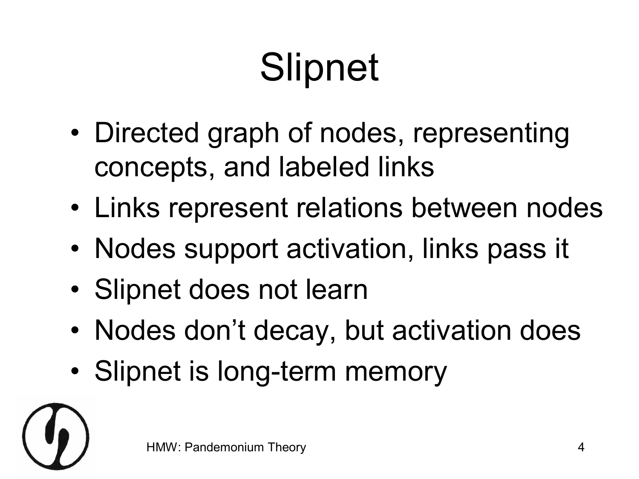# **Slipnet**

- Directed graph of nodes, representing concepts, and labeled links
- Links represent relations between nodes
- Nodes support activation, links pass it
- Slipnet does not learn
- Nodes don't decay, but activation does
- Slipnet is long-term memory

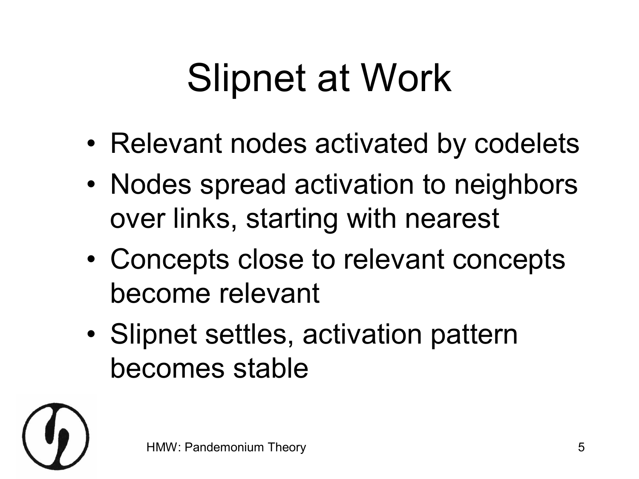## Slipnet at Work

- Relevant nodes activated by codelets
- Nodes spread activation to neighbors over links, starting with nearest
- Concepts close to relevant concepts become relevant
- Slipnet settles, activation pattern becomes stable

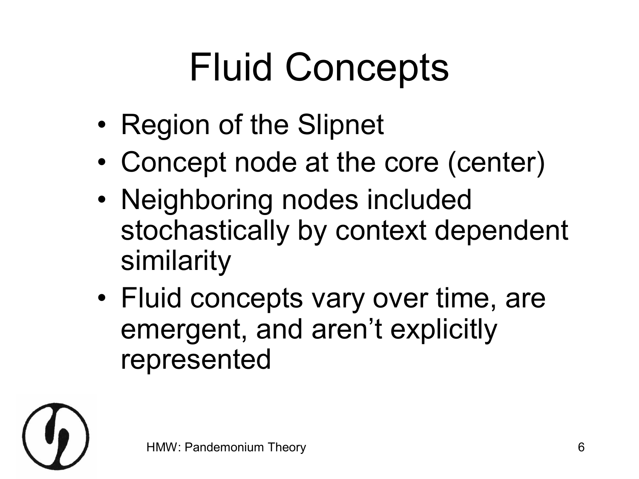# Fluid Concepts

- Region of the Slipnet
- Concept node at the core (center)
- Neighboring nodes included stochastically by context dependent similarity
- Fluid concepts vary over time, are emergent, and aren't explicitly represented

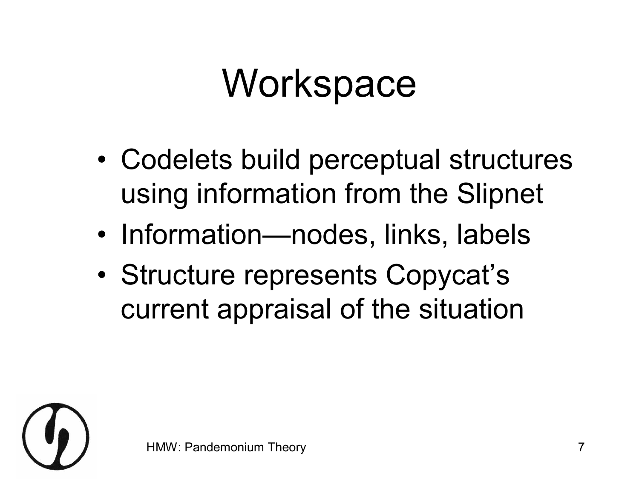### **Workspace**

- Codelets build perceptual structures using information from the Slipnet
- Information—nodes, links, labels
- Structure represents Copycat's current appraisal of the situation

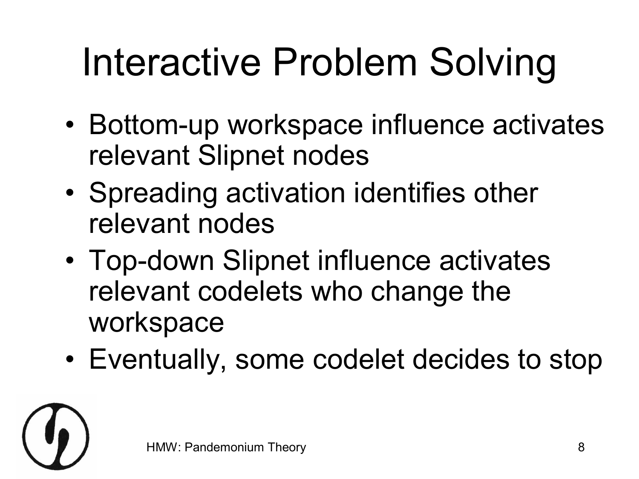# Interactive Problem Solving

- Bottom-up workspace influence activates relevant Slipnet nodes
- Spreading activation identifies other relevant nodes
- Top-down Slipnet influence activates relevant codelets who change the workspace
- Eventually, some codelet decides to stop

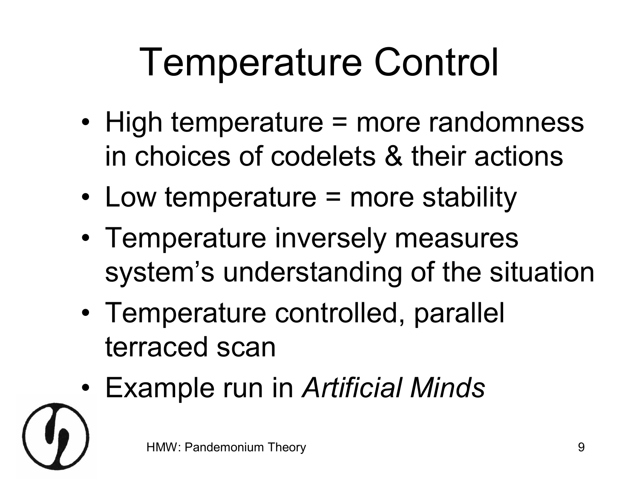# Temperature Control

- High temperature = more randomness in choices of codelets & their actions
- Low temperature = more stability
- Temperature inversely measures system's understanding of the situation
- Temperature controlled, parallel terraced scan
- Example run in *Artificial Minds*

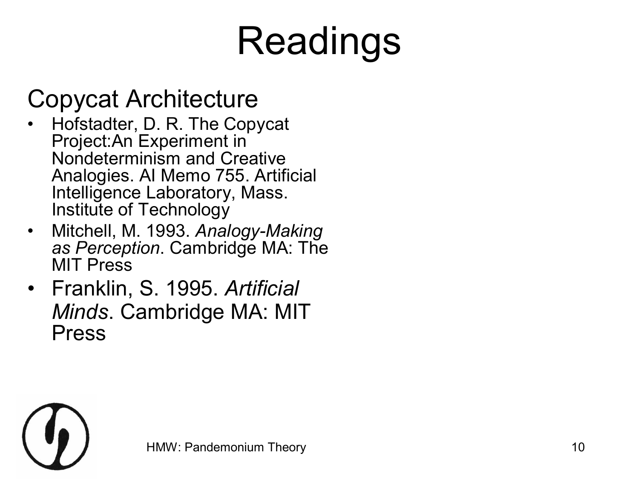# Readings

#### Copycat Architecture

- Hofstadter, D. R. The Copycat Project:An Experiment in Nondeterminism and Creative Analogies. AI Memo 755. Artificial Intelligence Laboratory, Mass. Institute of Technology
- Mitchell, M. 1993. Analogy-Making *as Perception*. Cambridge MA: The MIT Press
- Franklin, S. 1995. *Artificial Minds*. Cambridge MA: MIT Press